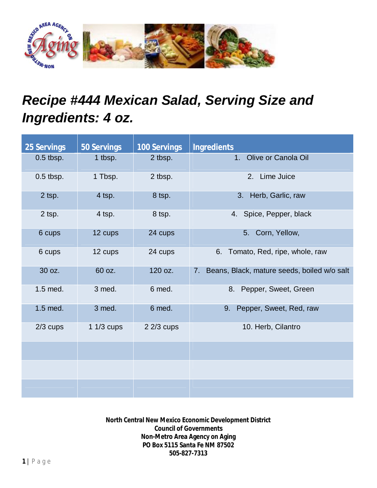

## *Recipe #444 Mexican Salad, Serving Size and Ingredients: 4 oz.*

| <b>25 Servings</b> | <b>50 Servings</b> | <b>100 Servings</b> | <b>Ingredients</b>                                |
|--------------------|--------------------|---------------------|---------------------------------------------------|
| $0.5$ tbsp.        | 1 tbsp.            | 2 tbsp.             | Olive or Canola Oil<br>1.                         |
| $0.5$ tbsp.        | 1 Tbsp.            | 2 tbsp.             | 2. Lime Juice                                     |
| 2 tsp.             | 4 tsp.             | 8 tsp.              | 3. Herb, Garlic, raw                              |
| 2 tsp.             | 4 tsp.             | 8 tsp.              | 4. Spice, Pepper, black                           |
| 6 cups             | 12 cups            | 24 cups             | 5. Corn, Yellow,                                  |
| 6 cups             | 12 cups            | 24 cups             | 6. Tomato, Red, ripe, whole, raw                  |
| 30 oz.             | 60 oz.             | 120 oz.             | Beans, Black, mature seeds, boiled w/o salt<br>7. |
| 1.5 med.           | 3 med.             | 6 med.              | 8. Pepper, Sweet, Green                           |
| 1.5 med.           | 3 med.             | 6 med.              | Pepper, Sweet, Red, raw<br>9.                     |
| $2/3$ cups         | $11/3$ cups        | $22/3$ cups         | 10. Herb, Cilantro                                |
|                    |                    |                     |                                                   |
|                    |                    |                     |                                                   |
|                    |                    |                     |                                                   |

**North Central New Mexico Economic Development District Council of Governments Non-Metro Area Agency on Aging PO Box 5115 Santa Fe NM 87502 505-827-7313**